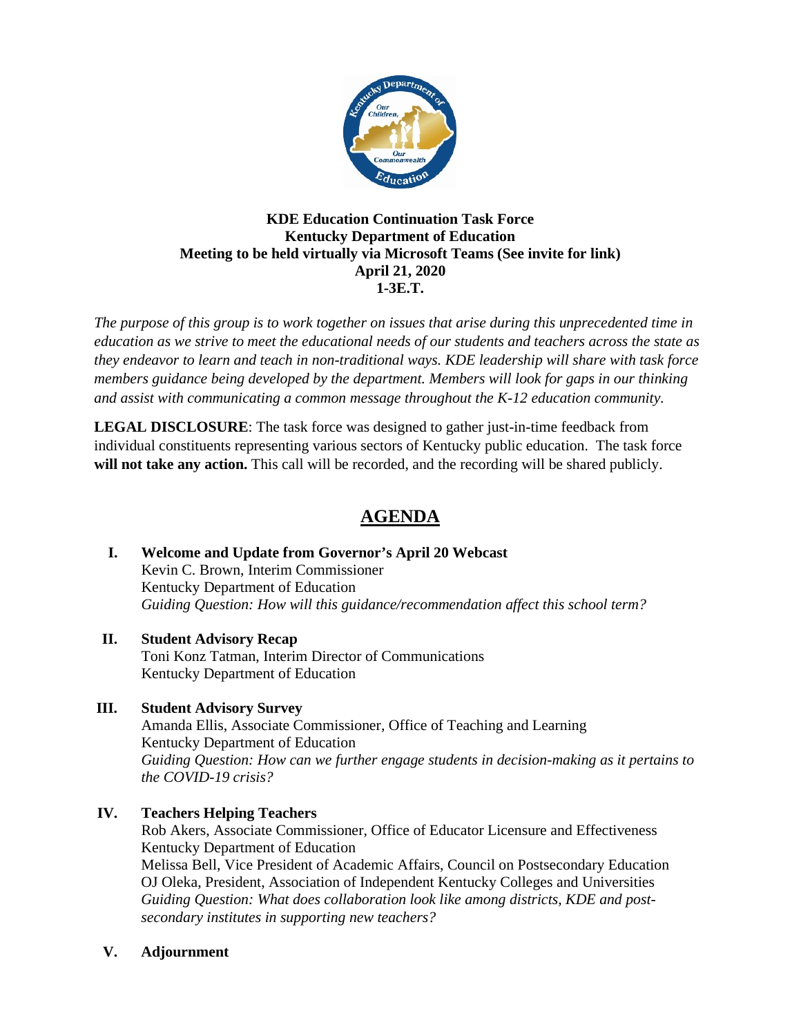

## **KDE Education Continuation Task Force Kentucky Department of Education Meeting to be held virtually via Microsoft Teams (See invite for link) April 21, 2020 1-3E.T.**

*The purpose of this group is to work together on issues that arise during this unprecedented time in education as we strive to meet the educational needs of our students and teachers across the state as they endeavor to learn and teach in non-traditional ways. KDE leadership will share with task force members guidance being developed by the department. Members will look for gaps in our thinking and assist with communicating a common message throughout the K-12 education community.*

**LEGAL DISCLOSURE**: The task force was designed to gather just-in-time feedback from individual constituents representing various sectors of Kentucky public education. The task force **will not take any action.** This call will be recorded, and the recording will be shared publicly.

## **AGENDA**

- **I. Welcome and Update from Governor's April 20 Webcast**  Kevin C. Brown, Interim Commissioner Kentucky Department of Education *Guiding Question: How will this guidance/recommendation affect this school term?*
- **II. Student Advisory Recap** Toni Konz Tatman, Interim Director of Communications Kentucky Department of Education
- **III. Student Advisory Survey**

Amanda Ellis, Associate Commissioner, Office of Teaching and Learning Kentucky Department of Education *Guiding Question: How can we further engage students in decision-making as it pertains to the COVID-19 crisis?*

## **IV. Teachers Helping Teachers**

Rob Akers, Associate Commissioner, Office of Educator Licensure and Effectiveness Kentucky Department of Education Melissa Bell, Vice President of Academic Affairs, Council on Postsecondary Education OJ Oleka, President, Association of Independent Kentucky Colleges and Universities *Guiding Question: What does collaboration look like among districts, KDE and postsecondary institutes in supporting new teachers?*

## **V. Adjournment**